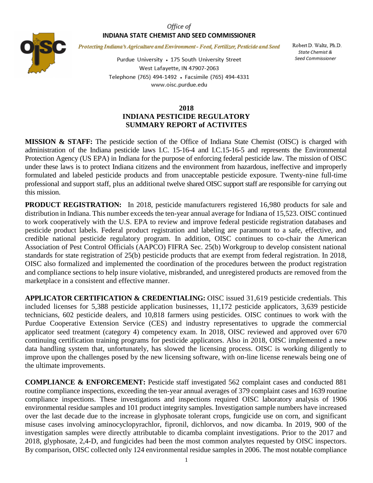## Office of INDIANA STATE CHEMIST AND SEED COMMISSIONER



Protecting Indiana's Agriculture and Environment - Feed, Fertilizer, Pesticide and Seed

Purdue University • 175 South University Street West Lafayette, IN 47907-2063 Telephone (765) 494-1492 · Facsimile (765) 494-4331 www.oisc.purdue.edu

Robert D. Waltz, Ph.D. State Chemist & Seed Commissioner

## **2018 INDIANA PESTICIDE REGULATORY SUMMARY REPORT of ACTIVITES**

**MISSION & STAFF:** The pesticide section of the Office of Indiana State Chemist (OISC) is charged with administration of the Indiana pesticide laws I.C. 15-16-4 and I.C.15-16-5 and represents the Environmental Protection Agency (US EPA) in Indiana for the purpose of enforcing federal pesticide law. The mission of OISC under these laws is to protect Indiana citizens and the environment from hazardous, ineffective and improperly formulated and labeled pesticide products and from unacceptable pesticide exposure. Twenty-nine full-time professional and support staff, plus an additional twelve shared OISC support staff are responsible for carrying out this mission.

**PRODUCT REGISTRATION:** In 2018, pesticide manufacturers registered 16,980 products for sale and distribution in Indiana. This number exceeds the ten-year annual average for Indiana of 15,523. OISC continued to work cooperatively with the U.S. EPA to review and improve federal pesticide registration databases and pesticide product labels. Federal product registration and labeling are paramount to a safe, effective, and credible national pesticide regulatory program. In addition, OISC continues to co-chair the American Association of Pest Control Officials (AAPCO) FIFRA Sec. 25(b) Workgroup to develop consistent national standards for state registration of 25(b) pesticide products that are exempt from federal registration. In 2018, OISC also formalized and implemented the coordination of the procedures between the product registration and compliance sections to help insure violative, misbranded, and unregistered products are removed from the marketplace in a consistent and effective manner.

**APPLICATOR CERTIFICATION & CREDENTIALING:** OISC issued 31,619 pesticide credentials. This included licenses for 5,388 pesticide application businesses, 11,172 pesticide applicators, 3,639 pesticide technicians, 602 pesticide dealers, and 10,818 farmers using pesticides. OISC continues to work with the Purdue Cooperative Extension Service (CES) and industry representatives to upgrade the commercial applicator seed treatment (category 4) competency exam. In 2018, OISC reviewed and approved over 670 continuing certification training programs for pesticide applicators. Also in 2018, OISC implemented a new data handling system that, unfortunately, has slowed the licensing process. OISC is working diligently to improve upon the challenges posed by the new licensing software, with on-line license renewals being one of the ultimate improvements.

**COMPLIANCE & ENFORCEMENT:** Pesticide staff investigated 562 complaint cases and conducted 881 routine compliance inspections, exceeding the ten-year annual averages of 379 complaint cases and 1639 routine compliance inspections. These investigations and inspections required OISC laboratory analysis of 1906 environmental residue samples and 101 product integrity samples. Investigation sample numbers have increased over the last decade due to the increase in glyphosate tolerant crops, fungicide use on corn, and significant misuse cases involving aminocyclopyrachlor, fipronil, dichlorvos, and now dicamba. In 2019, 900 of the investigation samples were directly attributable to dicamba complaint investigations. Prior to the 2017 and 2018, glyphosate, 2,4-D, and fungicides had been the most common analytes requested by OISC inspectors. By comparison, OISC collected only 124 environmental residue samples in 2006. The most notable compliance